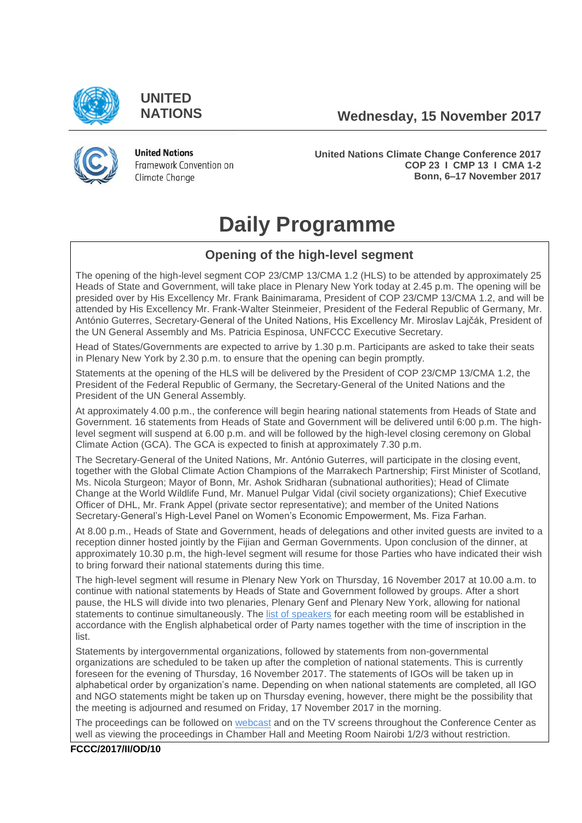

**UNITED**

**NATIONS Wednesday, 15 November 2017**



**United Nations** Framework Convention on Climate Change

**United Nations Climate Change Conference 2017 COP 23 I CMP 13 I CMA 1-2 Bonn, 6–17 November 2017**

# **Daily Programme**

# **Opening of the high-level segment**

The opening of the high-level segment COP 23/CMP 13/CMA 1.2 (HLS) to be attended by approximately 25 Heads of State and Government, will take place in Plenary New York today at 2.45 p.m. The opening will be presided over by His Excellency Mr. Frank Bainimarama, President of COP 23/CMP 13/CMA 1.2, and will be attended by His Excellency Mr. Frank-Walter Steinmeier, President of the Federal Republic of Germany, Mr. António Guterres, Secretary-General of the United Nations, His Excellency Mr. Miroslav Lajčák, President of the UN General Assembly and Ms. Patricia Espinosa, UNFCCC Executive Secretary.

Head of States/Governments are expected to arrive by 1.30 p.m. Participants are asked to take their seats in Plenary New York by 2.30 p.m. to ensure that the opening can begin promptly.

Statements at the opening of the HLS will be delivered by the President of COP 23/CMP 13/CMA 1.2, the President of the Federal Republic of Germany, the Secretary-General of the United Nations and the President of the UN General Assembly.

At approximately 4.00 p.m., the conference will begin hearing national statements from Heads of State and Government. 16 statements from Heads of State and Government will be delivered until 6:00 p.m. The highlevel segment will suspend at 6.00 p.m. and will be followed by the high-level closing ceremony on Global Climate Action (GCA). The GCA is expected to finish at approximately 7.30 p.m.

The Secretary-General of the United Nations, Mr. António Guterres, will participate in the closing event, together with the Global Climate Action Champions of the Marrakech Partnership; First Minister of Scotland, Ms. Nicola Sturgeon; Mayor of Bonn, Mr. Ashok Sridharan (subnational authorities); Head of Climate Change at the World Wildlife Fund, Mr. Manuel Pulgar Vidal (civil society organizations); Chief Executive Officer of DHL, Mr. Frank Appel (private sector representative); and member of the United Nations Secretary-General's High-Level Panel on Women's Economic Empowerment, Ms. Fiza Farhan.

At 8.00 p.m., Heads of State and Government, heads of delegations and other invited guests are invited to a reception dinner hosted jointly by the Fijian and German Governments. Upon conclusion of the dinner, at approximately 10.30 p.m, the high-level segment will resume for those Parties who have indicated their wish to bring forward their national statements during this time.

The high-level segment will resume in Plenary New York on Thursday, 16 November 2017 at 10.00 a.m. to continue with national statements by Heads of State and Government followed by groups. After a short pause, the HLS will divide into two plenaries, Plenary Genf and Plenary New York, allowing for national statements to continue simultaneously. The [list of speakers](https://cop23.unfccc.int/cop23/high-level-segment) for each meeting room will be established in accordance with the English alphabetical order of Party names together with the time of inscription in the list.

Statements by intergovernmental organizations, followed by statements from non-governmental organizations are scheduled to be taken up after the completion of national statements. This is currently foreseen for the evening of Thursday, 16 November 2017. The statements of IGOs will be taken up in alphabetical order by organization's name. Depending on when national statements are completed, all IGO and NGO statements might be taken up on Thursday evening, however, there might be the possibility that the meeting is adjourned and resumed on Friday, 17 November 2017 in the morning.

The proceedings can be followed on [webcast](https://unfccc.cloud.streamworld.de/live) and on the TV screens throughout the Conference Center as well as viewing the proceedings in Chamber Hall and Meeting Room Nairobi 1/2/3 without restriction.

### **FCCC/2017/II/OD/10**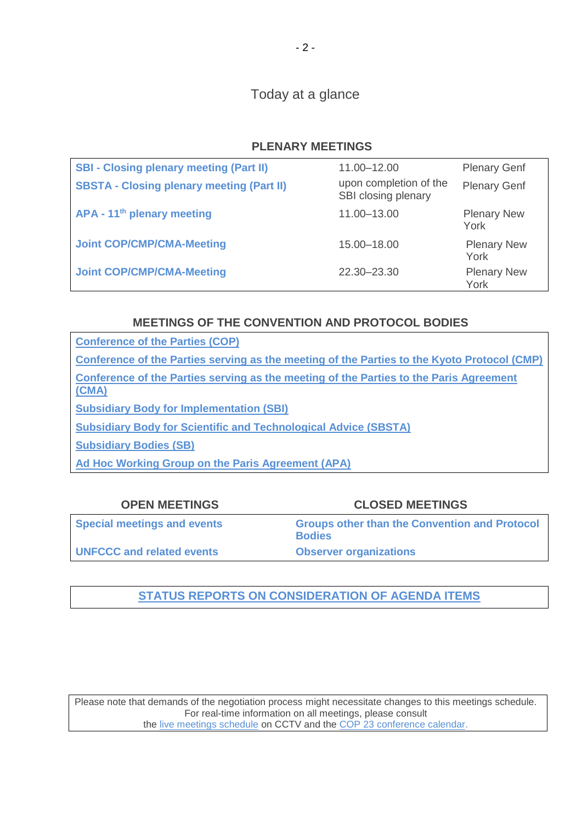Today at a glance

# **PLENARY MEETINGS**

| <b>SBI - Closing plenary meeting (Part II)</b>   | 11.00-12.00            | <b>Plenary Genf</b>        |
|--------------------------------------------------|------------------------|----------------------------|
|                                                  | upon completion of the |                            |
| <b>SBSTA - Closing plenary meeting (Part II)</b> | SBI closing plenary    | <b>Plenary Genf</b>        |
| APA - 11 <sup>th</sup> plenary meeting           | 11.00-13.00            | <b>Plenary New</b><br>York |
| <b>Joint COP/CMP/CMA-Meeting</b>                 | 15.00 - 18.00          | <b>Plenary New</b><br>York |
| <b>Joint COP/CMP/CMA-Meeting</b>                 | 22.30 - 23.30          | <b>Plenary New</b><br>York |

# **MEETINGS OF THE CONVENTION AND PROTOCOL BODIES**

| <b>Conference of the Parties (COP)</b>                                                          |
|-------------------------------------------------------------------------------------------------|
| Conference of the Parties serving as the meeting of the Parties to the Kyoto Protocol (CMP)     |
| Conference of the Parties serving as the meeting of the Parties to the Paris Agreement<br>(CMA) |
| <b>Subsidiary Body for Implementation (SBI)</b>                                                 |
| <b>Subsidiary Body for Scientific and Technological Advice (SBSTA)</b>                          |
| <b>Subsidiary Bodies (SB)</b>                                                                   |
| Ad Hoc Working Group on the Paris Agreement (APA)                                               |

| <b>OPEN MEETINGS</b>               | <b>CLOSED MEETINGS</b>                                                |
|------------------------------------|-----------------------------------------------------------------------|
| <b>Special meetings and events</b> | <b>Groups other than the Convention and Protocol</b><br><b>Bodies</b> |
| <b>UNFCCC and related events</b>   | <b>Observer organizations</b>                                         |

# **[STATUS REPORTS ON CONSIDERATION OF AGENDA ITEMS](http://unfccc.int/meetings/bonn_nov_2017/in-session/items/10482.php)**

Please note that demands of the negotiation process might necessitate changes to this meetings schedule. For real-time information on all meetings, please consult the [live meetings schedule](https://grandreserva.unfccc.int/grandreserva/public/schedule?time=2017%2F11%2F15&conference_id=70&meeting_type=&body=&webcast=0) on CCTV and the [COP 23 conference calendar.](https://cop23.unfccc.int/calendar)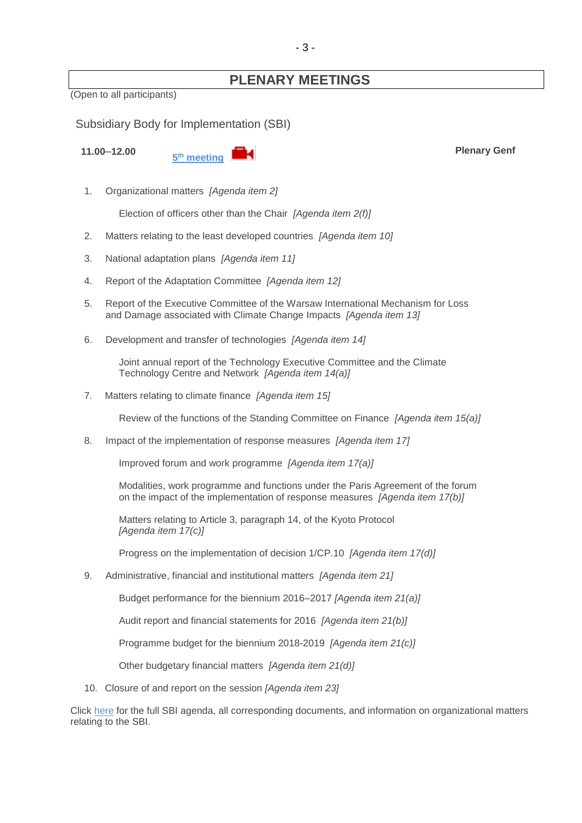# **PLENARY MEETINGS**

(Open to all participants)

<span id="page-2-0"></span>Subsidiary Body for Implementation (SBI)

**11.00**–**12.00 <sup>5</sup>**



**Plenary Genf**

1. Organizational matters *[Agenda item 2]*

Election of officers other than the Chair *[Agenda item 2(f)]*

- 2. Matters relating to the least developed countries *[Agenda item 10]*
- 3. National adaptation plans *[Agenda item 11]*
- 4. Report of the Adaptation Committee *[Agenda item 12]*
- 5. Report of the Executive Committee of the Warsaw International Mechanism for Loss and Damage associated with Climate Change Impacts *[Agenda item 13]*
- 6. Development and transfer of technologies *[Agenda item 14]*

Joint annual report of the Technology Executive Committee and the Climate Technology Centre and Network *[Agenda item 14(a)]*

7. Matters relating to climate finance *[Agenda item 15]*

Review of the functions of the Standing Committee on Finance *[Agenda item 15(a)]*

8. Impact of the implementation of response measures *[Agenda item 17]*

Improved forum and work programme *[Agenda item 17(a)]* 

Modalities, work programme and functions under the Paris Agreement of the forum on the impact of the implementation of response measures *[Agenda item 17(b)]*

Matters relating to Article 3, paragraph 14, of the Kyoto Protocol *[Agenda item 17(c)]*

Progress on the implementation of decision 1/CP.10 *[Agenda item 17(d)]*

9. Administrative, financial and institutional matters *[Agenda item 21]*

Budget performance for the biennium 2016–2017 *[Agenda item 21(a)]*

Audit report and financial statements for 2016 *[Agenda item 21(b)]*

Programme budget for the biennium 2018-2019 *[Agenda item 21(c)]*

Other budgetary financial matters *[Agenda item 21(d)]*

10. Closure of and report on the session *[Agenda item 23]*

Click [here](http://unfccc.int/meetings/bonn_nov_2017/session/10379/php/view/documents.php#c) for the full SBI agenda, all corresponding documents, and information on organizational matters relating to the SBI.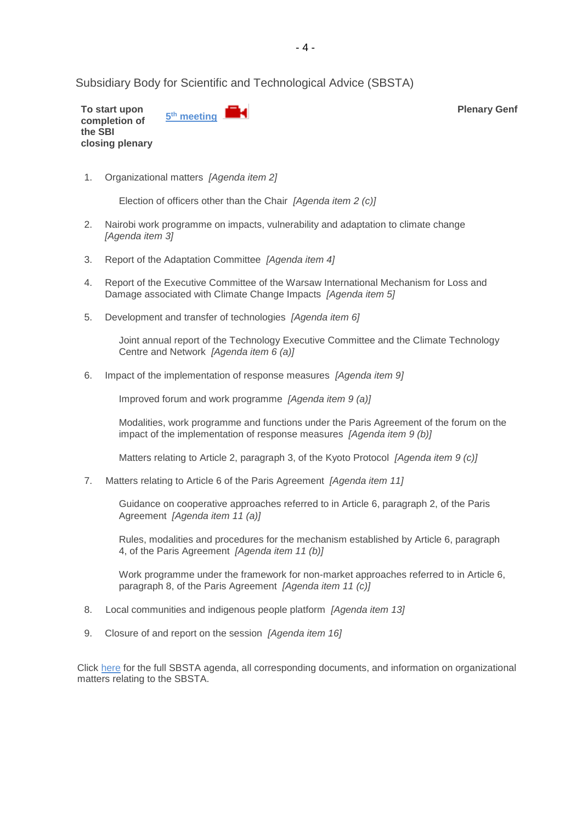<span id="page-3-0"></span>Subsidiary Body for Scientific and Technological Advice (SBSTA)

**To start upon completion of the SBI closing plenary 5 th [meeting](http://unfccc.cloud.streamworld.de/ondemand)**  **Plenary Genf**

1. Organizational matters *[Agenda item 2]*

Election of officers other than the Chair *[Agenda item 2 (c)]*

- 2. Nairobi work programme on impacts, vulnerability and adaptation to climate change *[Agenda item 3]*
- 3. Report of the Adaptation Committee *[Agenda item 4]*
- 4. Report of the Executive Committee of the Warsaw International Mechanism for Loss and Damage associated with Climate Change Impacts *[Agenda item 5]*
- 5. Development and transfer of technologies *[Agenda item 6]*

Joint annual report of the Technology Executive Committee and the Climate Technology Centre and Network *[Agenda item 6 (a)]*

6. Impact of the implementation of response measures *[Agenda item 9]*

Improved forum and work programme *[Agenda item 9 (a)]*

Modalities, work programme and functions under the Paris Agreement of the forum on the impact of the implementation of response measures *[Agenda item 9 (b)]*

Matters relating to Article 2, paragraph 3, of the Kyoto Protocol *[Agenda item 9 (c)]*

7. Matters relating to Article 6 of the Paris Agreement *[Agenda item 11]*

Guidance on cooperative approaches referred to in Article 6, paragraph 2, of the Paris Agreement *[Agenda item 11 (a)]*

Rules, modalities and procedures for the mechanism established by Article 6, paragraph 4, of the Paris Agreement *[Agenda item 11 (b)]*

Work programme under the framework for non-market approaches referred to in Article 6, paragraph 8, of the Paris Agreement *[Agenda item 11 (c)]*

- 8. Local communities and indigenous people platform *[Agenda item 13]*
- 9. Closure of and report on the session *[Agenda item 16]*

Click [here](http://unfccc.int/meetings/bonn_nov_2017/session/10380/php/view/documents.php#c) for the full SBSTA agenda, all corresponding documents, and information on organizational matters relating to the SBSTA.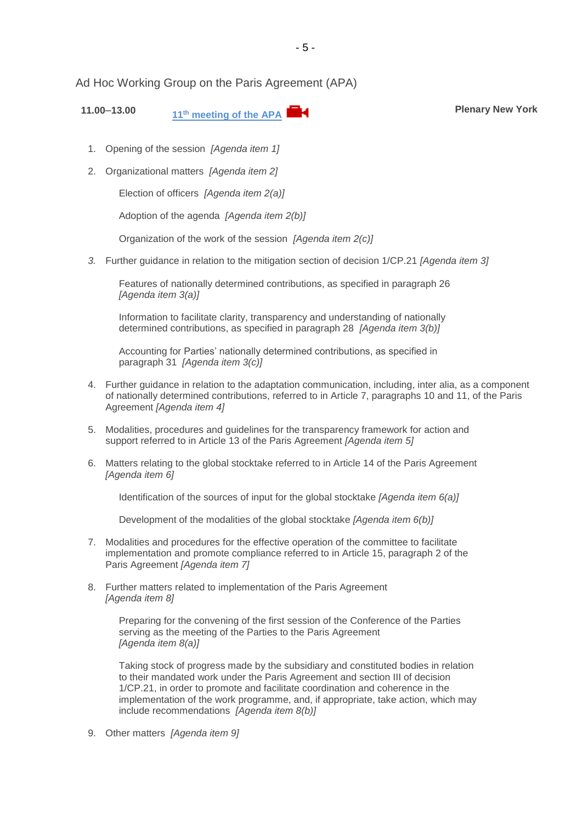<span id="page-4-0"></span>Ad Hoc Working Group on the Paris Agreement (APA)

**11.00**–**13.00 <sup>11</sup>th [meeting of the APA](https://unfccc.cloud.streamworld.de/live) Plenary New York**

- 1. Opening of the session *[Agenda item 1]*
- 2. Organizational matters *[Agenda item 2]*

Election of officers *[Agenda item 2(a)]*

Adoption of the agenda *[Agenda item 2(b)]*

Organization of the work of the session *[Agenda item 2(c)]*

*3.* Further guidance in relation to the mitigation section of decision 1/CP.21 *[Agenda item 3]*

Features of nationally determined contributions, as specified in paragraph 26 *[Agenda item 3(a)]*

Information to facilitate clarity, transparency and understanding of nationally determined contributions, as specified in paragraph 28 *[Agenda item 3(b)]*

Accounting for Parties' nationally determined contributions, as specified in paragraph 31 *[Agenda item 3(c)]*

- 4. Further guidance in relation to the adaptation communication, including, inter alia, as a component of nationally determined contributions, referred to in Article 7, paragraphs 10 and 11, of the Paris Agreement *[Agenda item 4]*
- 5. Modalities, procedures and guidelines for the transparency framework for action and support referred to in Article 13 of the Paris Agreement *[Agenda item 5]*
- 6. Matters relating to the global stocktake referred to in Article 14 of the Paris Agreement *[Agenda item 6]*

Identification of the sources of input for the global stocktake *[Agenda item 6(a)]*

Development of the modalities of the global stocktake *[Agenda item 6(b)]*

- 7. Modalities and procedures for the effective operation of the committee to facilitate implementation and promote compliance referred to in Article 15, paragraph 2 of the Paris Agreement *[Agenda item 7]*
- 8. Further matters related to implementation of the Paris Agreement *[Agenda item 8]*

Preparing for the convening of the first session of the Conference of the Parties serving as the meeting of the Parties to the Paris Agreement *[Agenda item 8(a)]*

Taking stock of progress made by the subsidiary and constituted bodies in relation to their mandated work under the Paris Agreement and section III of decision 1/CP.21, in order to promote and facilitate coordination and coherence in the implementation of the work programme, and, if appropriate, take action, which may include recommendations *[Agenda item 8(b)]*

9. Other matters *[Agenda item 9]*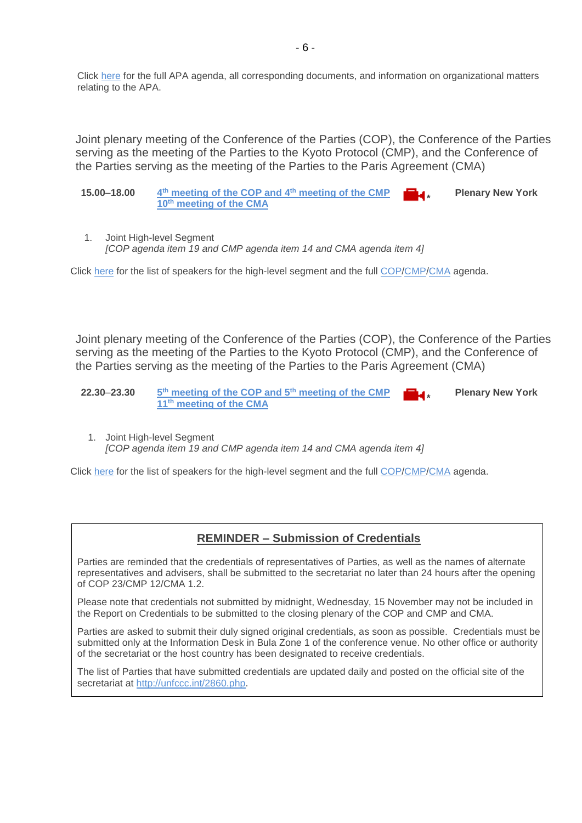Click [here](http://unfccc.int/meetings/bonn_nov_2017/session/10381/php/view/agenda.php#c) for the full APA agenda, all corresponding documents, and information on organizational matters relating to the APA.

<span id="page-5-0"></span>Joint plenary meeting of the Conference of the Parties (COP), the Conference of the Parties serving as the meeting of the Parties to the Kyoto Protocol (CMP), and the Conference of the Parties serving as the meeting of the Parties to the Paris Agreement (CMA)

- **15.00**–**18.00 4 th [meeting of the COP and 4](http://unfccc.cloud.streamworld.de/) th meeting of the CMP <sup>10</sup>th meeting of the CMA \* Plenary New York**
- 1. Joint High-level Segment *[COP agenda item 19 and CMP agenda item 14 and CMA agenda item 4]*

Click [here](https://cop23.unfccc.int/cop23/high-level-segment) for the list of speakers for the high-level segment and the full [COP/](http://unfccc.int/meetings/bonn_nov_2017/session/10376/php/view/documents.php#c)[CMP](http://unfccc.int/meetings/bonn_nov_2017/session/10377/php/view/documents.php#c)[/CMA](http://unfccc.int/meetings/bonn_nov_2017/session/10378/php/view/documents.php#c) agenda.

Joint plenary meeting of the Conference of the Parties (COP), the Conference of the Parties serving as the meeting of the Parties to the Kyoto Protocol (CMP), and the Conference of the Parties serving as the meeting of the Parties to the Paris Agreement (CMA)

- **22.30**–**23.30 5 th [meeting of the COP and 5](http://unfccc.cloud.streamworld.de/)th meeting of the CMP <sup>11</sup>th meeting of the CMA \* Plenary New York**
	- 1. Joint High-level Segment *[COP agenda item 19 and CMP agenda item 14 and CMA agenda item 4]*

Click [here](https://cop23.unfccc.int/cop23/high-level-segment) for the list of speakers for the high-level segment and the full [COP/](http://unfccc.int/meetings/bonn_nov_2017/session/10376/php/view/documents.php#c)[CMP](http://unfccc.int/meetings/bonn_nov_2017/session/10377/php/view/documents.php#c)[/CMA](http://unfccc.int/meetings/bonn_nov_2017/session/10378/php/view/documents.php#c) agenda.

### **REMINDER – Submission of Credentials**

Parties are reminded that the credentials of representatives of Parties, as well as the names of alternate representatives and advisers, shall be submitted to the secretariat no later than 24 hours after the opening of COP 23/CMP 12/CMA 1.2.

Please note that credentials not submitted by midnight, Wednesday, 15 November may not be included in the Report on Credentials to be submitted to the closing plenary of the COP and CMP and CMA.

Parties are asked to submit their duly signed original credentials, as soon as possible. Credentials must be submitted only at the Information Desk in Bula Zone 1 of the conference venue. No other office or authority of the secretariat or the host country has been designated to receive credentials.

The list of Parties that have submitted credentials are updated daily and posted on the official site of the secretariat at [http://unfccc.int/2860.php.](http://unfccc.int/2860.php)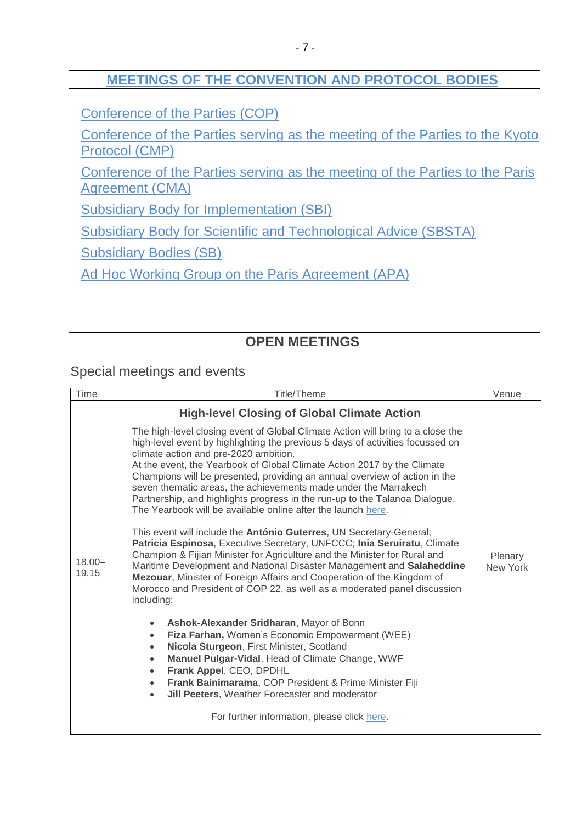# **[MEETINGS OF THE CONVENTION AND PROTOCOL BODIES](https://grandreserva.unfccc.int/grandreserva/public/schedule?time=2017%2F11%2F15&conference_id=70&meeting_type=&body=3%2C4%2C5%2C6%2C7%2C8%2C9%2C10&webcast=0)**

[Conference of the Parties \(COP\)](https://grandreserva.unfccc.int/grandreserva/public/schedule?time=2017%2F11%2F15&conference_id=70&meeting_type=&body=4&webcast=0)

[Conference of the Parties serving as the meeting of the Parties to the Kyoto](https://grandreserva.unfccc.int/grandreserva/public/schedule?time=2017%2F11%2F15&conference_id=70&meeting_type=&body=3&webcast=0)  [Protocol \(CMP\)](https://grandreserva.unfccc.int/grandreserva/public/schedule?time=2017%2F11%2F15&conference_id=70&meeting_type=&body=3&webcast=0)

[Conference of the Parties serving as the meeting of the Parties to the Paris](https://grandreserva.unfccc.int/grandreserva/public/schedule?time=2017%2F11%2F15&conference_id=70&meeting_type=&body=10&webcast=0)  [Agreement \(CMA\)](https://grandreserva.unfccc.int/grandreserva/public/schedule?time=2017%2F11%2F15&conference_id=70&meeting_type=&body=10&webcast=0)

[Subsidiary Body for Implementation \(SBI\)](https://grandreserva.unfccc.int/grandreserva/public/schedule?time=2017%2F11%2F15&conference_id=70&meeting_type=&body=5&webcast=0)

[Subsidiary Body for Scientific and Technological Advice \(SBSTA\)](https://grandreserva.unfccc.int/grandreserva/public/schedule?time=2017%2F11%2F15&conference_id=70&meeting_type=&body=6&webcast=0)

[Subsidiary Bodies \(SB\)](https://grandreserva.unfccc.int/grandreserva/public/schedule?time=2017%2F11%2F15&conference_id=70&meeting_type=&body=7&webcast=0)

[Ad Hoc Working Group on the Paris Agreement \(APA\)](https://grandreserva.unfccc.int/grandreserva/public/schedule?time=2017%2F11%2F15&conference_id=70&meeting_type=&body=9&webcast=0)

# **OPEN MEETINGS**

<span id="page-6-0"></span>Special meetings and events

<span id="page-6-1"></span>

| Time               | <b>Title/Theme</b>                                                                                                                                                                                                                                                                                                                                                                                                                                                                                                                                                                                                                                                                                                                                                                                                   | Venue    |
|--------------------|----------------------------------------------------------------------------------------------------------------------------------------------------------------------------------------------------------------------------------------------------------------------------------------------------------------------------------------------------------------------------------------------------------------------------------------------------------------------------------------------------------------------------------------------------------------------------------------------------------------------------------------------------------------------------------------------------------------------------------------------------------------------------------------------------------------------|----------|
|                    | <b>High-level Closing of Global Climate Action</b>                                                                                                                                                                                                                                                                                                                                                                                                                                                                                                                                                                                                                                                                                                                                                                   |          |
|                    | The high-level closing event of Global Climate Action will bring to a close the<br>high-level event by highlighting the previous 5 days of activities focussed on<br>climate action and pre-2020 ambition.<br>At the event, the Yearbook of Global Climate Action 2017 by the Climate<br>Champions will be presented, providing an annual overview of action in the<br>seven thematic areas, the achievements made under the Marrakech<br>Partnership, and highlights progress in the run-up to the Talanoa Dialogue.<br>The Yearbook will be available online after the launch here.<br>This event will include the António Guterres, UN Secretary-General;<br>Patricia Espinosa, Executive Secretary, UNFCCC; Inia Seruiratu, Climate<br>Champion & Fijian Minister for Agriculture and the Minister for Rural and | Plenary  |
| $18.00 -$<br>19.15 | Maritime Development and National Disaster Management and Salaheddine<br>Mezouar, Minister of Foreign Affairs and Cooperation of the Kingdom of<br>Morocco and President of COP 22, as well as a moderated panel discussion<br>including:                                                                                                                                                                                                                                                                                                                                                                                                                                                                                                                                                                            | New York |
|                    | Ashok-Alexander Sridharan, Mayor of Bonn<br>$\bullet$<br>Fiza Farhan, Women's Economic Empowerment (WEE)<br>$\bullet$<br>Nicola Sturgeon, First Minister, Scotland<br>$\bullet$<br>Manuel Pulgar-Vidal, Head of Climate Change, WWF<br>$\bullet$<br>Frank Appel, CEO, DPDHL<br>$\bullet$<br>Frank Bainimarama, COP President & Prime Minister Fiji<br>$\bullet$<br>Jill Peeters, Weather Forecaster and moderator<br>$\bullet$                                                                                                                                                                                                                                                                                                                                                                                       |          |
|                    | For further information, please click here.                                                                                                                                                                                                                                                                                                                                                                                                                                                                                                                                                                                                                                                                                                                                                                          |          |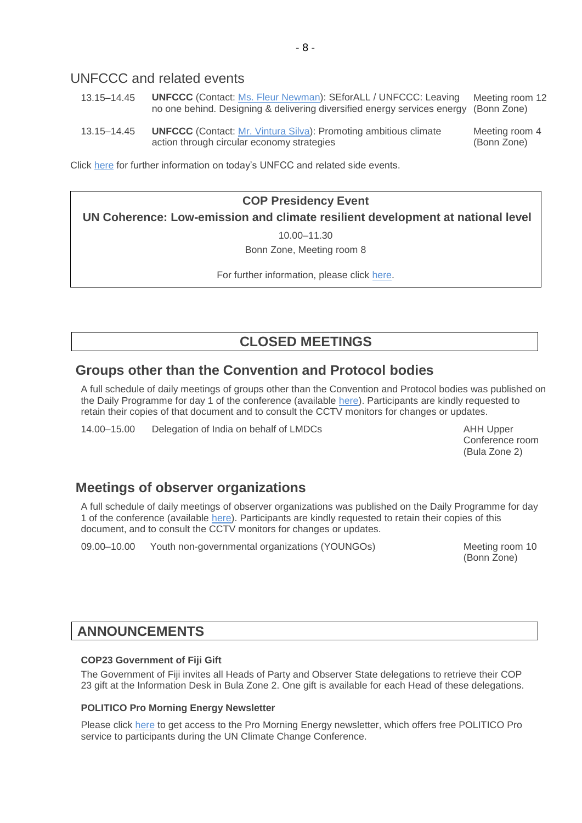# UNFCCC and related events

- 13.15–14.45 **UNFCCC** (Contact: [Ms. Fleur Newman\)](mailto:fnewman@unfccc.int): SEforALL / UNFCCC: Leaving no one behind. Designing & delivering diversified energy services energy (Bonn Zone) Meeting room 12
- 13.15–14.45 **UNFCCC** (Contact: [Mr. Vintura Silva\)](mailto:vsilva@unfccc.int): Promoting ambitious climate action through circular economy strategies Meeting room 4 (Bonn Zone)

Click [here](https://seors.unfccc.int/seors/reports/events_list.html?session_id=COP23) for further information on today's UNFCC and related side events.

### **COP Presidency Event**

**UN Coherence: Low-emission and climate resilient development at national level** 

10.00–11.30

Bonn Zone, Meeting room 8

For further information, please click [here.](https://cop23.unfccc.int/sites/default/files/resource/CNPresidencyEventUNcoherence_0.pdf)

# **CLOSED MEETINGS**

# <span id="page-7-0"></span>**Groups other than the Convention and Protocol bodies**

A full schedule of daily meetings of groups other than the Convention and Protocol bodies was published on the Daily Programme for day 1 of the conference (available [here\)](http://unfccc.int/resource/docs/2017/cop23/OD/od01.pdf). Participants are kindly requested to retain their copies of that document and to consult the CCTV monitors for changes or updates.

14.00–15.00 Delegation of India on behalf of LMDCs AHH Upper

Conference room (Bula Zone 2)

# **Meetings of observer organizations**

A full schedule of daily meetings of observer organizations was published on the Daily Programme for day 1 of the conference (available [here\)](http://unfccc.int/resource/docs/2017/cop23/OD/od01.pdf). Participants are kindly requested to retain their copies of this document, and to consult the CCTV monitors for changes or updates.

<span id="page-7-1"></span>09.00–10.00 Youth non-governmental organizations (YOUNGOs) Meeting room 10

(Bonn Zone)

# **ANNOUNCEMENTS**

### **COP23 Government of Fiji Gift**

The Government of Fiji invites all Heads of Party and Observer State delegations to retrieve their COP 23 gift at the Information Desk in Bula Zone 2. One gift is available for each Head of these delegations.

### **POLITICO Pro Morning Energy Newsletter**

Please click [here](https://www.politico.eu/article/morning-ee-cop23-wednesday) to get access to the Pro Morning Energy newsletter, which offers free POLITICO Pro service to participants during the UN Climate Change Conference.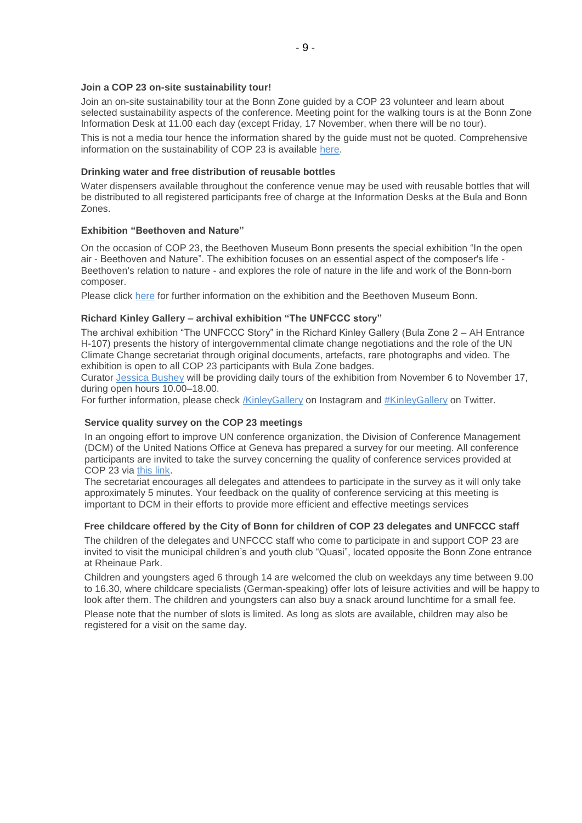#### **Join a COP 23 on-site sustainability tour!**

Join an on-site sustainability tour at the Bonn Zone guided by a COP 23 volunteer and learn about selected sustainability aspects of the conference. Meeting point for the walking tours is at the Bonn Zone Information Desk at 11.00 each day (except Friday, 17 November, when there will be no tour).

This is not a media tour hence the information shared by the guide must not be quoted. Comprehensive information on the sustainability of COP 23 is available [here.](https://cop23.unfccc.int/cop-23/sustainable-conference)

#### **Drinking water and free distribution of reusable bottles**

Water dispensers available throughout the conference venue may be used with reusable bottles that will be distributed to all registered participants free of charge at the Information Desks at the Bula and Bonn Zones.

#### **Exhibition "Beethoven and Nature"**

On the occasion of COP 23, the Beethoven Museum Bonn presents the special exhibition "In the open air - Beethoven and Nature". The exhibition focuses on an essential aspect of the composer's life - Beethoven's relation to nature - and explores the role of nature in the life and work of the Bonn-born composer.

Please click [here](https://www.beethoven-haus-bonn.de/page/Visit#temporary_exhibitions) for further information on the exhibition and the Beethoven Museum Bonn.

#### **Richard Kinley Gallery – archival exhibition "The UNFCCC story"**

The archival exhibition "The UNFCCC Story" in the Richard Kinley Gallery (Bula Zone 2 – AH Entrance H-107) presents the history of intergovernmental climate change negotiations and the role of the UN Climate Change secretariat through original documents, artefacts, rare photographs and video. The exhibition is open to all COP 23 participants with Bula Zone badges.

Curator [Jessica Bushey](mailto:jbushey@unfccc.int) will be providing daily tours of the exhibition from November 6 to November 17, during open hours 10.00–18.00.

For further information, please check [/KinleyGallery](https://www.instagram.com/KinleyGallery/) on Instagram and [#KinleyGallery](https://twitter.com/hashtag/KinleyGallery?src=hash) on Twitter.

#### **Service quality survey on the COP 23 meetings**

In an ongoing effort to improve UN conference organization, the Division of Conference Management (DCM) of the United Nations Office at Geneva has prepared a survey for our meeting. All conference participants are invited to take the survey concerning the quality of conference services provided at COP 23 via [this link.](http://conf.unog.ch/dcmsurvey)

The secretariat encourages all delegates and attendees to participate in the survey as it will only take approximately 5 minutes. Your feedback on the quality of conference servicing at this meeting is important to DCM in their efforts to provide more efficient and effective meetings services

#### **Free childcare offered by the City of Bonn for children of COP 23 delegates and UNFCCC staff**

The children of the delegates and UNFCCC staff who come to participate in and support COP 23 are invited to visit the municipal children's and youth club "Quasi", located opposite the Bonn Zone entrance at Rheinaue Park.

Children and youngsters aged 6 through 14 are welcomed the club on weekdays any time between 9.00 to 16.30, where childcare specialists (German-speaking) offer lots of leisure activities and will be happy to look after them. The children and youngsters can also buy a snack around lunchtime for a small fee.

Please note that the number of slots is limited. As long as slots are available, children may also be registered for a visit on the same day.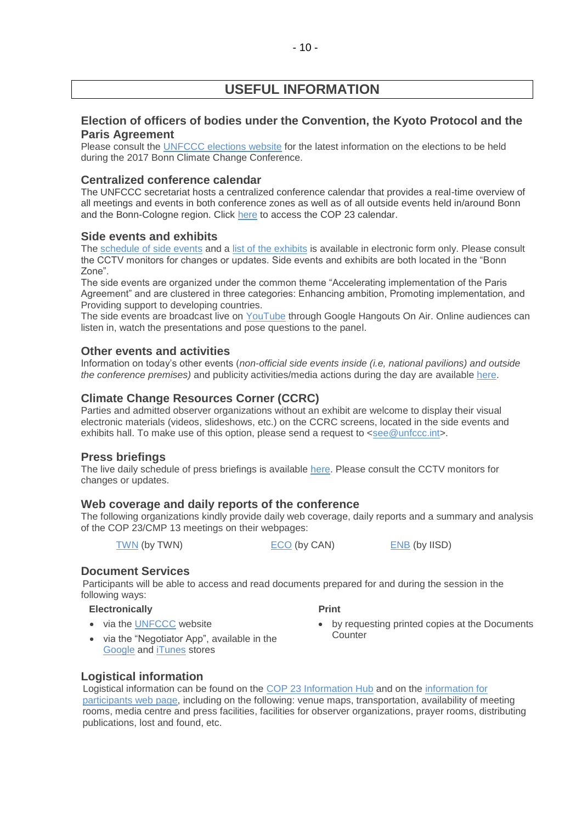# **USEFUL INFORMATION**

### **Election of officers of bodies under the Convention, the Kyoto Protocol and the Paris Agreement**

Please consult the [UNFCCC elections website](http://unfccc.int/6558.php) for the latest information on the elections to be held during the 2017 Bonn Climate Change Conference.

### **Centralized conference calendar**

The UNFCCC secretariat hosts a centralized conference calendar that provides a real-time overview of all meetings and events in both conference zones as well as of all outside events held in/around Bonn and the Bonn-Cologne region. Click [here](https://cop23.unfccc.int/calendar) to access the COP 23 calendar.

### **Side events and exhibits**

The [schedule of side events](https://seors.unfccc.int/seors/reports/events_list.html?session_id=COP23) and a [list of the exhibits](https://seors.unfccc.int/seors/reports/exhibits_list.html?session_id=COP23) is available in electronic form only. Please consult the CCTV monitors for changes or updates. Side events and exhibits are both located in the "Bonn Zone".

The side events are organized under the common theme "Accelerating implementation of the Paris Agreement" and are clustered in three categories: Enhancing ambition, Promoting implementation, and Providing support to developing countries.

The side events are broadcast live on [YouTube](https://www.youtube.com/channel/UCSbUPgmmKUTzRmspKM9DpuQ?view_as=subscriber) through Google Hangouts On Air. Online audiences can listen in, watch the presentations and pose questions to the panel.

### **Other events and activities**

Information on today's other events (*non-official side events inside (i.e, national pavilions) and outside the conference premises)* and publicity activities/media actions during the day are available [here.](https://seors.unfccc.int/seors/reports/events_list.html?session_id=CEvents)

### **Climate Change Resources Corner (CCRC)**

Parties and admitted observer organizations without an exhibit are welcome to display their visual electronic materials (videos, slideshows, etc.) on the CCRC screens, located in the side events and exhibits hall. To make use of this option, please send a request to [<see@unfccc.int>](mailto:see@unfccc.int).

### **Press briefings**

The live daily schedule of press briefings is available [here.](https://grandreserva.unfccc.int/grandreserva/public/schedule?time=2017%2F11%2F15&conference_id=70&meeting_type=145&body=&webcast=0) Please consult the CCTV monitors for changes or updates.

### **Web coverage and daily reports of the conference**

The following organizations kindly provide daily web coverage, daily reports and a summary and analysis of the COP 23/CMP 13 meetings on their webpages:

[TWN](https://twnetwork.org/meeting/bonn-climate-change-conference-nov-2017) (by TWN) [ECO](http://www.climatenetwork.org/event/cop-23) (by CAN) [ENB](http://enb.iisd.org/climate/cop23/) (by IISD)

 **Print** 

### **Document Services**

Participants will be able to access and read documents prepared for and during the session in the following ways:

### **Electronically**

• via the [UNFCCC](http://unfccc.int/meetings/bonn_nov_2017/meeting/10084/php/view/documents.php#c) website

- by requesting printed copies at the Documents **Counter**
- via the "Negotiator App", available in the [Google](https://play.google.com/store/apps/details?id=unfccc.negotiator) and [iTunes](https://itunes.apple.com/app/negotiator/id568085923?ls=1&mt=8) stores

### **Logistical information**

Logistical information can be found on the [COP 23 Information Hub](http://newsroom.unfccc.int/cop23bonninformationhub/) and on the [information for](https://cop23.unfccc.int/info-a-z)  [participants web](https://cop23.unfccc.int/info-a-z) page, including on the following: venue maps, transportation, availability of meeting rooms, media centre and press facilities, facilities for observer organizations, prayer rooms, distributing publications, lost and found, etc.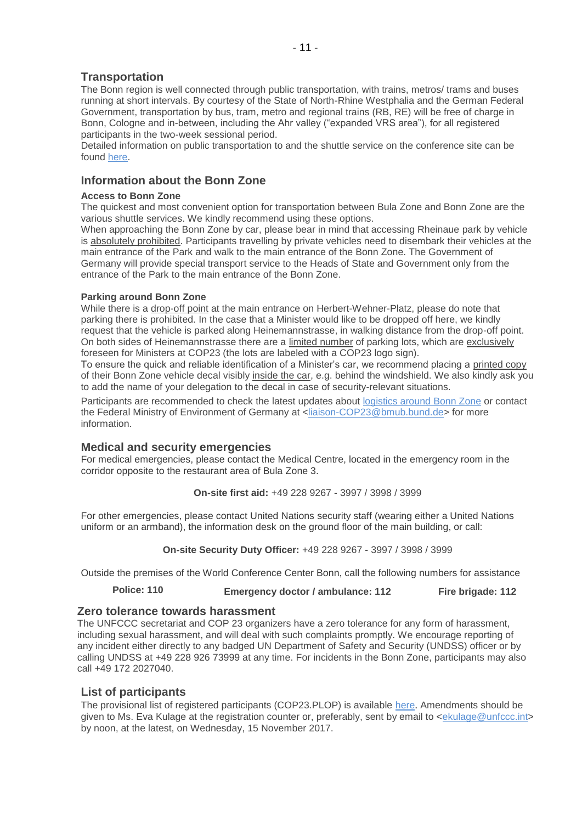### **Transportation**

The Bonn region is well connected through public transportation, with trains, metros/ trams and buses running at short intervals. By courtesy of the State of North-Rhine Westphalia and the German Federal Government, transportation by bus, tram, metro and regional trains (RB, RE) will be free of charge in Bonn, Cologne and in-between, including the Ahr valley ("expanded VRS area"), for all registered participants in the two-week sessional period.

Detailed information on public transportation to and the shuttle service on the conference site can be found [here.](https://cop23.unfccc.int/cop23/accommodation-and-transport)

### **Information about the Bonn Zone**

#### **Access to Bonn Zone**

The quickest and most convenient option for transportation between Bula Zone and Bonn Zone are the various shuttle services. We kindly recommend using these options.

When approaching the Bonn Zone by car, please bear in mind that accessing Rheinaue park by vehicle is absolutely prohibited. Participants travelling by private vehicles need to disembark their vehicles at the main entrance of the Park and walk to the main entrance of the Bonn Zone. The Government of Germany will provide special transport service to the Heads of State and Government only from the entrance of the Park to the main entrance of the Bonn Zone.

### **Parking around Bonn Zone**

While there is a drop-off point at the main entrance on Herbert-Wehner-Platz, please do note that parking there is prohibited. In the case that a Minister would like to be dropped off here, we kindly request that the vehicle is parked along Heinemannstrasse, in walking distance from the drop-off point. On both sides of Heinemannstrasse there are a limited number of parking lots, which are exclusively foreseen for Ministers at COP23 (the lots are labeled with a COP23 logo sign).

To ensure the quick and reliable identification of a Minister's car, we recommend placing a printed copy of their Bonn Zone vehicle decal visibly inside the car, e.g. behind the windshield. We also kindly ask you to add the name of your delegation to the decal in case of security-relevant situations.

Participants are recommended to check the latest updates about [logistics around Bonn Zone](https://cop23.unfccc.int/info-a-z) or contact the Federal Ministry of Environment of Germany at [<liaison-COP23@bmub.bund.de>](mailto:liaison-COP23@bmub.bund.de) for more information.

### **Medical and security emergencies**

For medical emergencies, please contact the Medical Centre, located in the emergency room in the corridor opposite to the restaurant area of Bula Zone 3.

**On-site first aid:** +49 228 9267 - 3997 / 3998 / 3999

For other emergencies, please contact United Nations security staff (wearing either a United Nations uniform or an armband), the information desk on the ground floor of the main building, or call:

**On-site Security Duty Officer:** +49 228 9267 - 3997 / 3998 / 3999

Outside the premises of the World Conference Center Bonn, call the following numbers for assistance

**Police: 110 Emergency doctor / ambulance: 112 Fire brigade: 112**

### **Zero tolerance towards harassment**

The UNFCCC secretariat and COP 23 organizers have a zero tolerance for any form of harassment, including sexual harassment, and will deal with such complaints promptly. We encourage reporting of any incident either directly to any badged UN Department of Safety and Security (UNDSS) officer or by calling UNDSS at +49 228 926 73999 at any time. For incidents in the Bonn Zone, participants may also call +49 172 2027040.

### **List of participants**

The provisional list of registered participants (COP23.PLOP) is available [here](http://unfccc.int/resource/docs/2017/cop23/eng/PLOP.pdf). Amendments should be given to Ms. Eva Kulage at the registration counter or, preferably, sent by email to [<ekulage@unfccc.int>](mailto:ekulage@unfccc.int) by noon, at the latest, on Wednesday, 15 November 2017.